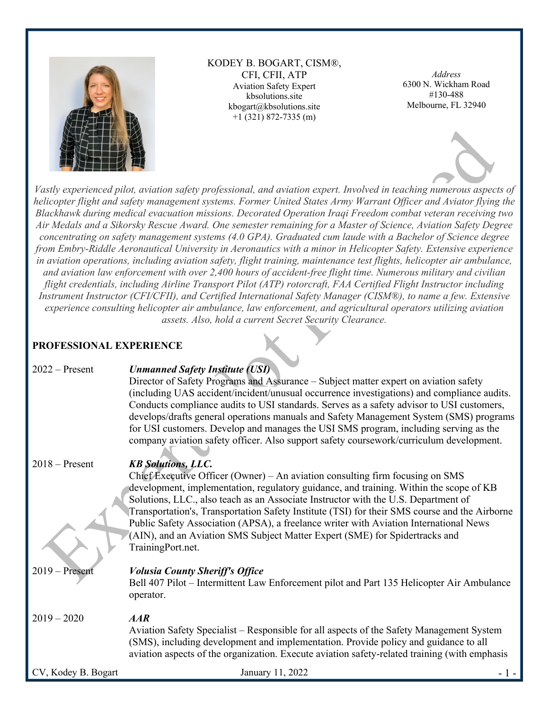

KODEY B. BOGART, CISM®, CFI, CFII, ATP Aviation Safety Expert kbsolutions.site kbogart@kbsolutions.site +1 (321) 872-7335 (m)

*Address* 6300 N. Wickham Road #130-488 Melbourne, FL 32940



*Vastly experienced pilot, aviation safety professional, and aviation expert. Involved in teaching numerous aspects of helicopter flight and safety management systems. Former United States Army Warrant Officer and Aviator flying the Blackhawk during medical evacuation missions. Decorated Operation Iraqi Freedom combat veteran receiving two Air Medals and a Sikorsky Rescue Award. One semester remaining for a Master of Science, Aviation Safety Degree concentrating on safety management systems (4.0 GPA). Graduated cum laude with a Bachelor of Science degree from Embry-Riddle Aeronautical University in Aeronautics with a minor in Helicopter Safety. Extensive experience in aviation operations, including aviation safety, flight training, maintenance test flights, helicopter air ambulance, and aviation law enforcement with over 2,400 hours of accident-free flight time. Numerous military and civilian flight credentials, including Airline Transport Pilot (ATP) rotorcraft, FAA Certified Flight Instructor including Instrument Instructor (CFI/CFII), and Certified International Safety Manager (CISM®), to name a few. Extensive experience consulting helicopter air ambulance, law enforcement, and agricultural operators utilizing aviation assets. Also, hold a current Secret Security Clearance.* 

### **PROFESSIONAL EXPERIENCE**

| I KOFESSIONAL EAI EKIENÇE |                                                                                                                                                                                                                                                                                                                                                                                                                                                                                                                                                                                                        |
|---------------------------|--------------------------------------------------------------------------------------------------------------------------------------------------------------------------------------------------------------------------------------------------------------------------------------------------------------------------------------------------------------------------------------------------------------------------------------------------------------------------------------------------------------------------------------------------------------------------------------------------------|
| $2022 -$ Present          | <b>Unmanned Safety Institute (USI)</b><br>Director of Safety Programs and Assurance – Subject matter expert on aviation safety<br>(including UAS accident/incident/unusual occurrence investigations) and compliance audits.<br>Conducts compliance audits to USI standards. Serves as a safety advisor to USI customers,<br>develops/drafts general operations manuals and Safety Management System (SMS) programs<br>for USI customers. Develop and manages the USI SMS program, including serving as the<br>company aviation safety officer. Also support safety coursework/curriculum development. |
| $2018 -$ Present          | <b>KB Solutions, LLC.</b><br>Chief Executive Officer (Owner) – An aviation consulting firm focusing on SMS<br>development, implementation, regulatory guidance, and training. Within the scope of KB<br>Solutions, LLC., also teach as an Associate Instructor with the U.S. Department of<br>Transportation's, Transportation Safety Institute (TSI) for their SMS course and the Airborne<br>Public Safety Association (APSA), a freelance writer with Aviation International News<br>(AIN), and an Aviation SMS Subject Matter Expert (SME) for Spidertracks and<br>TrainingPort.net.               |
| $2019 -$ Present          | <b>Volusia County Sheriff's Office</b><br>Bell 407 Pilot – Intermittent Law Enforcement pilot and Part 135 Helicopter Air Ambulance<br>operator.                                                                                                                                                                                                                                                                                                                                                                                                                                                       |
| $2019 - 2020$             | AAR<br>Aviation Safety Specialist – Responsible for all aspects of the Safety Management System<br>(SMS), including development and implementation. Provide policy and guidance to all<br>aviation aspects of the organization. Execute aviation safety-related training (with emphasis                                                                                                                                                                                                                                                                                                                |
| CV, Kodey B. Bogart       | January 11, 2022<br>- 1 -                                                                                                                                                                                                                                                                                                                                                                                                                                                                                                                                                                              |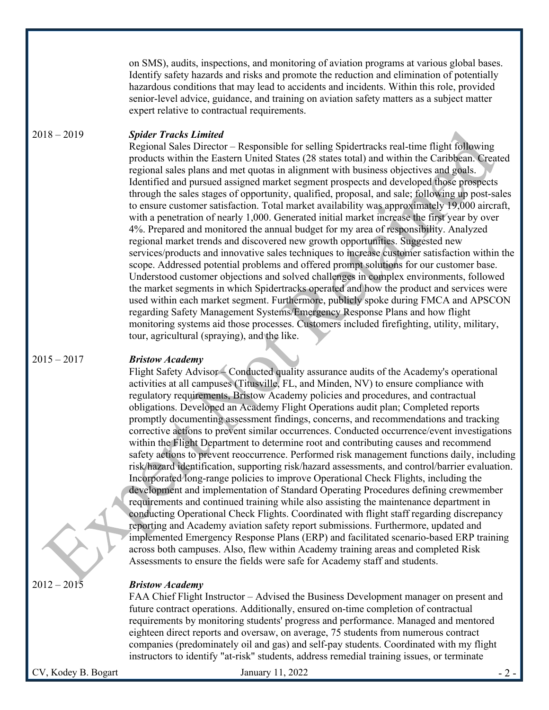on SMS), audits, inspections, and monitoring of aviation programs at various global bases. Identify safety hazards and risks and promote the reduction and elimination of potentially hazardous conditions that may lead to accidents and incidents. Within this role, provided senior-level advice, guidance, and training on aviation safety matters as a subject matter expert relative to contractual requirements.

#### 2018 – 2019 *Spider Tracks Limited*

Regional Sales Director – Responsible for selling Spidertracks real-time flight following products within the Eastern United States (28 states total) and within the Caribbean. Created regional sales plans and met quotas in alignment with business objectives and goals. Identified and pursued assigned market segment prospects and developed those prospects through the sales stages of opportunity, qualified, proposal, and sale; following up post-sales to ensure customer satisfaction. Total market availability was approximately 19,000 aircraft, with a penetration of nearly 1,000. Generated initial market increase the first year by over 4%. Prepared and monitored the annual budget for my area of responsibility. Analyzed regional market trends and discovered new growth opportunities. Suggested new services/products and innovative sales techniques to increase customer satisfaction within the scope. Addressed potential problems and offered prompt solutions for our customer base. Understood customer objections and solved challenges in complex environments, followed the market segments in which Spidertracks operated and how the product and services were used within each market segment. Furthermore, publicly spoke during FMCA and APSCON regarding Safety Management Systems/Emergency Response Plans and how flight monitoring systems aid those processes. Customers included firefighting, utility, military, tour, agricultural (spraying), and the like.

#### 2015 – 2017 *Bristow Academy*

Flight Safety Advisor – Conducted quality assurance audits of the Academy's operational activities at all campuses (Titusville, FL, and Minden, NV) to ensure compliance with regulatory requirements, Bristow Academy policies and procedures, and contractual obligations. Developed an Academy Flight Operations audit plan; Completed reports promptly documenting assessment findings, concerns, and recommendations and tracking corrective actions to prevent similar occurrences. Conducted occurrence/event investigations within the Flight Department to determine root and contributing causes and recommend safety actions to prevent reoccurrence. Performed risk management functions daily, including risk/hazard identification, supporting risk/hazard assessments, and control/barrier evaluation. Incorporated long-range policies to improve Operational Check Flights, including the development and implementation of Standard Operating Procedures defining crewmember requirements and continued training while also assisting the maintenance department in conducting Operational Check Flights. Coordinated with flight staff regarding discrepancy reporting and Academy aviation safety report submissions. Furthermore, updated and implemented Emergency Response Plans (ERP) and facilitated scenario-based ERP training across both campuses. Also, flew within Academy training areas and completed Risk Assessments to ensure the fields were safe for Academy staff and students.

#### 2012 – 2015 *Bristow Academy*

FAA Chief Flight Instructor – Advised the Business Development manager on present and future contract operations. Additionally, ensured on-time completion of contractual requirements by monitoring students' progress and performance. Managed and mentored eighteen direct reports and oversaw, on average, 75 students from numerous contract companies (predominately oil and gas) and self-pay students. Coordinated with my flight instructors to identify "at-risk" students, address remedial training issues, or terminate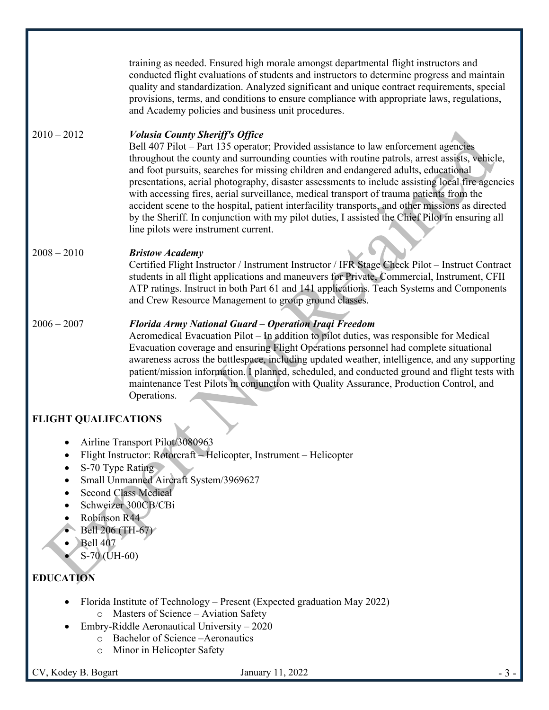training as needed. Ensured high morale amongst departmental flight instructors and conducted flight evaluations of students and instructors to determine progress and maintain quality and standardization. Analyzed significant and unique contract requirements, special provisions, terms, and conditions to ensure compliance with appropriate laws, regulations, and Academy policies and business unit procedures.

#### 2010 – 2012 *Volusia County Sheriff's Office*

Bell 407 Pilot – Part 135 operator; Provided assistance to law enforcement agencies throughout the county and surrounding counties with routine patrols, arrest assists, vehicle, and foot pursuits, searches for missing children and endangered adults, educational presentations, aerial photography, disaster assessments to include assisting local fire agencies with accessing fires, aerial surveillance, medical transport of trauma patients from the accident scene to the hospital, patient interfacility transports, and other missions as directed by the Sheriff. In conjunction with my pilot duties, I assisted the Chief Pilot in ensuring all line pilots were instrument current.

#### 2008 – 2010 *Bristow Academy*

Certified Flight Instructor / Instrument Instructor / IFR Stage Check Pilot – Instruct Contract students in all flight applications and maneuvers for Private, Commercial, Instrument, CFII ATP ratings. Instruct in both Part 61 and 141 applications. Teach Systems and Components and Crew Resource Management to group ground classes.

#### 2006 – 2007 *Florida Army National Guard – Operation Iraqi Freedom*

Aeromedical Evacuation Pilot – In addition to pilot duties, was responsible for Medical Evacuation coverage and ensuring Flight Operations personnel had complete situational awareness across the battlespace, including updated weather, intelligence, and any supporting patient/mission information. I planned, scheduled, and conducted ground and flight tests with maintenance Test Pilots in conjunction with Quality Assurance, Production Control, and Operations.

# **FLIGHT QUALIFCATIONS**

- Airline Transport Pilot/3080963
- Flight Instructor: Rotorcraft Helicopter, Instrument Helicopter
- S-70 Type Rating
- Small Unmanned Aircraft System/3969627
- Second Class Medical
- Schweizer 300CB/CBi
- Robinson R44
- Bell 206 (TH-67)
- Bell 407
	- S-70 (UH-60)

# **EDUCATION**

- Florida Institute of Technology Present (Expected graduation May 2022)
	- o Masters of Science Aviation Safety
- Embry-Riddle Aeronautical University 2020
	- o Bachelor of Science –Aeronautics
	- o Minor in Helicopter Safety

CV, Kodey B. Bogart January 11, 2022 - 3 -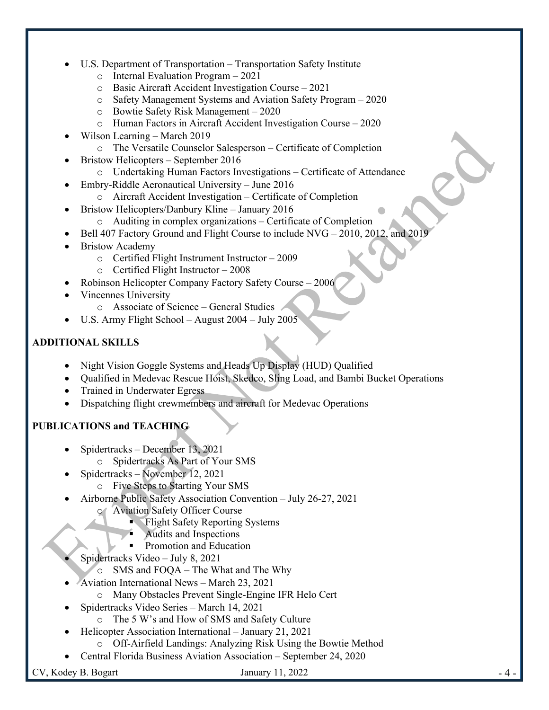- U.S. Department of Transportation Transportation Safety Institute
	- o Internal Evaluation Program 2021
	- o Basic Aircraft Accident Investigation Course 2021
	- o Safety Management Systems and Aviation Safety Program 2020
	- o Bowtie Safety Risk Management 2020
	- o Human Factors in Aircraft Accident Investigation Course 2020
- Wilson Learning March 2019
	- o The Versatile Counselor Salesperson Certificate of Completion
- Bristow Helicopters September 2016
	- o Undertaking Human Factors Investigations Certificate of Attendance
- Embry-Riddle Aeronautical University June 2016
	- o Aircraft Accident Investigation Certificate of Completion
- Bristow Helicopters/Danbury Kline January 2016
	- o Auditing in complex organizations Certificate of Completion
- Bell 407 Factory Ground and Flight Course to include NVG 2010, 2012, and 2019
- **Bristow Academy** 
	- o Certified Flight Instrument Instructor 2009
	- o Certified Flight Instructor 2008
- Robinson Helicopter Company Factory Safety Course 2006
- Vincennes University
	- o Associate of Science General Studies
- U.S. Army Flight School August 2004 July 2005

### **ADDITIONAL SKILLS**

- Night Vision Goggle Systems and Heads Up Display (HUD) Qualified
- Qualified in Medevac Rescue Hoist, Skedco, Sling Load, and Bambi Bucket Operations
- Trained in Underwater Egress
- Dispatching flight crewmembers and aircraft for Medevac Operations

# **PUBLICATIONS and TEACHING**

- Spidertracks December 13, 2021
	- o Spidertracks As Part of Your SMS
- Spidertracks November 12, 2021
	- o Five Steps to Starting Your SMS
- Airborne Public Safety Association Convention July 26-27, 2021
	- o Aviation Safety Officer Course
		- § Flight Safety Reporting Systems
		- § Audits and Inspections
		- § Promotion and Education
	- Spidertracks Video July 8, 2021
		- o SMS and FOQA The What and The Why
- Aviation International News March 23, 2021
	- o Many Obstacles Prevent Single-Engine IFR Helo Cert
	- Spidertracks Video Series March 14, 2021
		- o The 5 W's and How of SMS and Safety Culture
- Helicopter Association International January 21, 2021
	- o Off-Airfield Landings: Analyzing Risk Using the Bowtie Method
- Central Florida Business Aviation Association September 24, 2020

 $CV$ , Kodey B. Bogart  $J$  January 11, 2022  $-4$